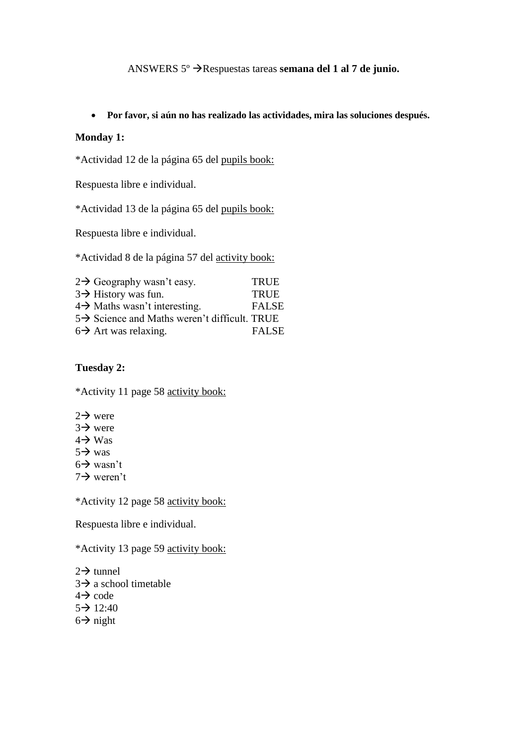# ANSWERS 5°  $\rightarrow$  Respuestas tareas **semana del 1 al 7 de junio.**

#### **Por favor, si aún no has realizado las actividades, mira las soluciones después.**

### **Monday 1:**

\*Actividad 12 de la página 65 del pupils book:

Respuesta libre e individual.

\*Actividad 13 de la página 65 del pupils book:

Respuesta libre e individual.

\*Actividad 8 de la página 57 del activity book:

| $2\rightarrow$ Geography wasn't easy.                    | <b>TRUE</b>  |
|----------------------------------------------------------|--------------|
| $3\rightarrow$ History was fun.                          | <b>TRUE</b>  |
| $4\rightarrow$ Maths wasn't interesting.                 | <b>FALSE</b> |
| $5\rightarrow$ Science and Maths weren't difficult. TRUE |              |
| $6\rightarrow$ Art was relaxing.                         | <b>FALSE</b> |

### **Tuesday 2:**

\*Activity 11 page 58 activity book:

- $2 \rightarrow$  were
- $3\rightarrow$  were
- $4 \rightarrow W$ as
- $5 \rightarrow$  was
- $6 \rightarrow$  wasn't
- $7 \rightarrow$  weren't

\*Activity 12 page 58 activity book:

Respuesta libre e individual.

\*Activity 13 page 59 activity book:

 $2 \rightarrow$  tunnel  $3\rightarrow a$  school timetable

- $4 \rightarrow \text{code}$
- $5 \rightarrow 12:40$
- $6 \rightarrow$  night